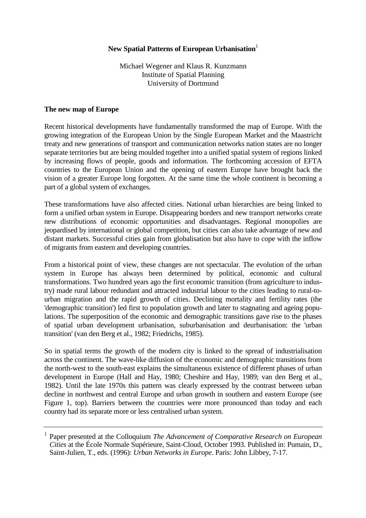# **New Spatial Patterns of European Urbanisation**<sup>1</sup>

Michael Wegener and Klaus R. Kunzmann Institute of Spatial Planning University of Dortmund

# **The new map of Europe**

Recent historical developments have fundamentally transformed the map of Europe. With the growing integration of the European Union by the Single European Market and the Maastricht treaty and new generations of transport and communication networks nation states are no longer separate territories but are being moulded together into a unified spatial system of regions linked by increasing flows of people, goods and information. The forthcoming accession of EFTA countries to the European Union and the opening of eastern Europe have brought back the vision of a greater Europe long forgotten. At the same time the whole continent is becoming a part of a global system of exchanges.

These transformations have also affected cities. National urban hierarchies are being linked to form a unified urban system in Europe. Disappearing borders and new transport networks create new distributions of economic opportunities and disadvantages. Regional monopolies are jeopardised by international or global competition, but cities can also take advantage of new and distant markets. Successful cities gain from globalisation but also have to cope with the inflow of migrants from eastern and developing countries.

From a historical point of view, these changes are not spectacular. The evolution of the urban system in Europe has always been determined by political, economic and cultural transformations. Two hundred years ago the first economic transition (from agriculture to industry) made rural labour redundant and attracted industrial labour to the cities leading to rural-tourban migration and the rapid growth of cities. Declining mortality and fertility rates (the 'demographic transition') led first to population growth and later to stagnating and ageing populations. The superposition of the economic and demographic transitions gave rise to the phases of spatial urban development urbanisation, suburbanisation and deurbanisation: the 'urban transition' (van den Berg et al., 1982; Friedrichs, 1985).

So in spatial terms the growth of the modern city is linked to the spread of industrialisation across the continent. The wave-like diffusion of the economic and demographic transitions from the north-west to the south-east explains the simultaneous existence of different phases of urban development in Europe (Hall and Hay, 1980; Cheshire and Hay, 1989; van den Berg et al., 1982). Until the late 1970s this pattern was clearly expressed by the contrast between urban decline in northwest and central Europe and urban growth in southern and eastern Europe (see Figure 1, top). Barriers between the countries were more pronounced than today and each country had its separate more or less centralised urban system.

<sup>1</sup> Paper presented at the Colloquium *The Advancement of Comparative Research on European Cities* at the École Normale Supérieure, Saint-Cloud, October 1993. Published in: Pumain, D., Saint-Julien, T., eds. (1996): *Urban Networks in Europe*. Paris: John Libbey, 7-17.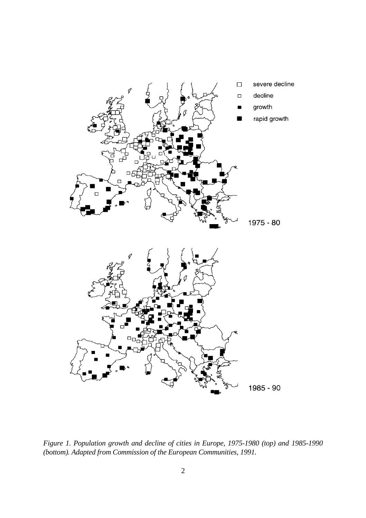

*Figure 1. Population growth and decline of cities in Europe, 1975-1980 (top) and 1985-1990 (bottom). Adapted from Commission of the European Communities, 1991.*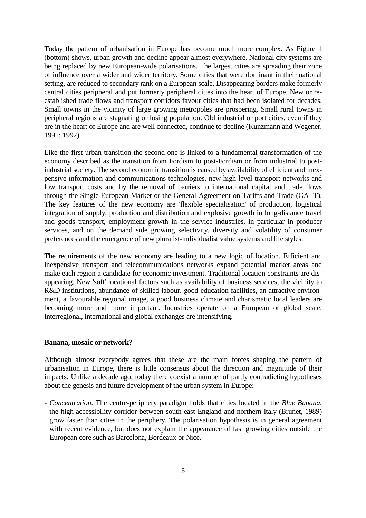Today the pattern of urbanisation in Europe has become much more complex. As Figure 1 (bottom) shows, urban growth and decline appear almost everywhere. National city systems are being replaced by new European-wide polarisations. The largest cities are spreading their zone of influence over a wider and wider territory. Some cities that were dominant in their national setting, are reduced to secondary rank on a European scale. Disappearing borders make formerly central cities peripheral and put formerly peripheral cities into the heart of Europe. New or reestablished trade flows and transport corridors favour cities that had been isolated for decades. Small towns in the vicinity of large growing metropoles are prospering. Small rural towns in peripheral regions are stagnating or losing population. Old industrial or port cities, even if they are in the heart of Europe and are well connected, continue to decline (Kunzmann and Wegener, 1991; 1992).

Like the first urban transition the second one is linked to a fundamental transformation of the economy described as the transition from Fordism to post-Fordism or from industrial to postindustrial society. The second economic transition is caused by availability of efficient and inexpensive information and communications technologies, new high-level transport networks and low transport costs and by the removal of barriers to international capital and trade flows through the Single European Market or the General Agreement on Tariffs and Trade (GATT). The key features of the new economy are 'flexible specialisation' of production, logistical integration of supply, production and distribution and explosive growth in long-distance travel and goods transport, employment growth in the service industries, in particular in producer services, and on the demand side growing selectivity, diversity and volatility of consumer preferences and the emergence of new pluralist-individualist value systems and life styles.

The requirements of the new economy are leading to a new logic of location. Efficient and inexpensive transport and telecommunications networks expand potential market areas and make each region a candidate for economic investment. Traditional location constraints are disappearing. New 'soft' locational factors such as availability of business services, the vicinity to R&D institutions, abundance of skilled labour, good education facilities, an attractive environment, a favourable regional image, a good business climate and charismatic local leaders are becoming more and more important. Industries operate on a European or global scale. Interregional, international and global exchanges are intensifying.

#### **Banana, mosaic or network?**

Although almost everybody agrees that these are the main forces shaping the pattern of urbanisation in Europe, there is little consensus about the direction and magnitude of their impacts. Unlike a decade ago, today there coexist a number of partly contradicting hypotheses about the genesis and future development of the urban system in Europe:

- *Concentration*. The centre-periphery paradigm holds that cities located in the *Blue Banana*, the high-accessibility corridor between south-east England and northern Italy (Brunet, 1989) grow faster than cities in the periphery. The polarisation hypothesis is in general agreement with recent evidence, but does not explain the appearance of fast growing cities outside the European core such as Barcelona, Bordeaux or Nice.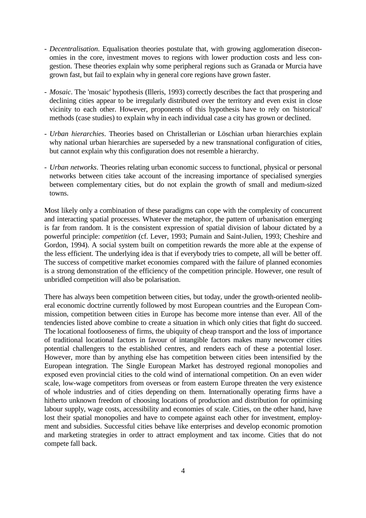- *Decentralisation*. Equalisation theories postulate that, with growing agglomeration diseconomies in the core, investment moves to regions with lower production costs and less congestion. These theories explain why some peripheral regions such as Granada or Murcia have grown fast, but fail to explain why in general core regions have grown faster.
- *Mosaic*. The 'mosaic' hypothesis (Illeris, 1993) correctly describes the fact that prospering and declining cities appear to be irregularly distributed over the territory and even exist in close vicinity to each other. However, proponents of this hypothesis have to rely on 'historical' methods (case studies) to explain why in each individual case a city has grown or declined.
- *Urban hierarchies*. Theories based on Christallerian or Löschian urban hierarchies explain why national urban hierarchies are superseded by a new transnational configuration of cities, but cannot explain why this configuration does not resemble a hierarchy.
- *Urban networks*. Theories relating urban economic success to functional, physical or personal networks between cities take account of the increasing importance of specialised synergies between complementary cities, but do not explain the growth of small and medium-sized towns.

Most likely only a combination of these paradigms can cope with the complexity of concurrent and interacting spatial processes. Whatever the metaphor, the pattern of urbanisation emerging is far from random. It is the consistent expression of spatial division of labour dictated by a powerful principle: *competition* (cf. Lever, 1993; Pumain and Saint-Julien, 1993; Cheshire and Gordon, 1994). A social system built on competition rewards the more able at the expense of the less efficient. The underlying idea is that if everybody tries to compete, all will be better off. The success of competitive market economies compared with the failure of planned economies is a strong demonstration of the efficiency of the competition principle. However, one result of unbridled competition will also be polarisation.

There has always been competition between cities, but today, under the growth-oriented neoliberal economic doctrine currently followed by most European countries and the European Commission, competition between cities in Europe has become more intense than ever. All of the tendencies listed above combine to create a situation in which only cities that fight do succeed. The locational footlooseness of firms, the ubiquity of cheap transport and the loss of importance of traditional locational factors in favour of intangible factors makes many newcomer cities potential challengers to the established centres, and renders each of these a potential loser. However, more than by anything else has competition between cities been intensified by the European integration. The Single European Market has destroyed regional monopolies and exposed even provincial cities to the cold wind of international competition. On an even wider scale, low-wage competitors from overseas or from eastern Europe threaten the very existence of whole industries and of cities depending on them. Internationally operating firms have a hitherto unknown freedom of choosing locations of production and distribution for optimising labour supply, wage costs, accessibility and economies of scale. Cities, on the other hand, have lost their spatial monopolies and have to compete against each other for investment, employment and subsidies. Successful cities behave like enterprises and develop economic promotion and marketing strategies in order to attract employment and tax income. Cities that do not compete fall back.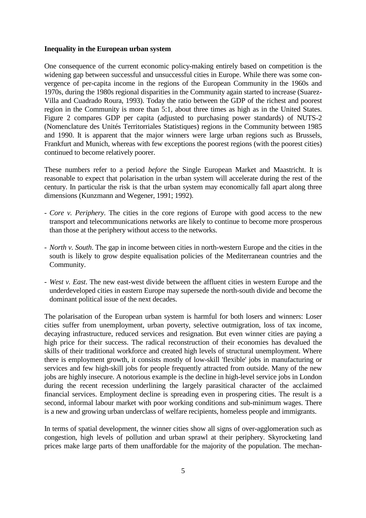### **Inequality in the European urban system**

One consequence of the current economic policy-making entirely based on competition is the widening gap between successful and unsuccessful cities in Europe. While there was some convergence of per-capita income in the regions of the European Community in the 1960s and 1970s, during the 1980s regional disparities in the Community again started to increase (Suarez-Villa and Cuadrado Roura, 1993). Today the ratio between the GDP of the richest and poorest region in the Community is more than 5:1, about three times as high as in the United States. Figure 2 compares GDP per capita (adjusted to purchasing power standards) of NUTS-2 (Nomenclature des Unités Territorriales Statistiques) regions in the Community between 1985 and 1990. It is apparent that the major winners were large urban regions such as Brussels, Frankfurt and Munich, whereas with few exceptions the poorest regions (with the poorest cities) continued to become relatively poorer.

These numbers refer to a period *before* the Single European Market and Maastricht. It is reasonable to expect that polarisation in the urban system will accelerate during the rest of the century. In particular the risk is that the urban system may economically fall apart along three dimensions (Kunzmann and Wegener, 1991; 1992).

- *Core v. Periphery*. The cities in the core regions of Europe with good access to the new transport and telecommunications networks are likely to continue to become more prosperous than those at the periphery without access to the networks.
- *North v. South*. The gap in income between cities in north-western Europe and the cities in the south is likely to grow despite equalisation policies of the Mediterranean countries and the Community.
- *West v. East*. The new east-west divide between the affluent cities in western Europe and the underdeveloped cities in eastern Europe may supersede the north-south divide and become the dominant political issue of the next decades.

The polarisation of the European urban system is harmful for both losers and winners: Loser cities suffer from unemployment, urban poverty, selective outmigration, loss of tax income, decaying infrastructure, reduced services and resignation. But even winner cities are paying a high price for their success. The radical reconstruction of their economies has devalued the skills of their traditional workforce and created high levels of structural unemployment. Where there is employment growth, it consists mostly of low-skill 'flexible' jobs in manufacturing or services and few high-skill jobs for people frequently attracted from outside. Many of the new jobs are highly insecure. A notorious example is the decline in high-level service jobs in London during the recent recession underlining the largely parasitical character of the acclaimed financial services. Employment decline is spreading even in prospering cities. The result is a second, informal labour market with poor working conditions and sub-minimum wages. There is a new and growing urban underclass of welfare recipients, homeless people and immigrants.

In terms of spatial development, the winner cities show all signs of over-agglomeration such as congestion, high levels of pollution and urban sprawl at their periphery. Skyrocketing land prices make large parts of them unaffordable for the majority of the population. The mechan-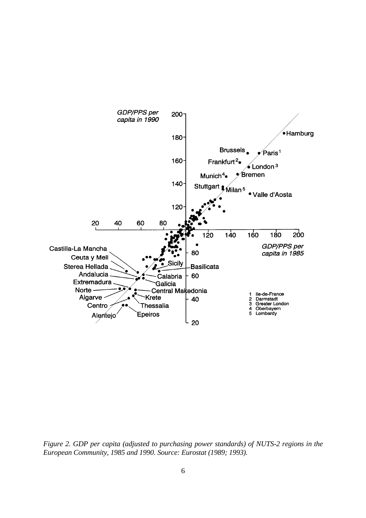

*Figure 2. GDP per capita (adjusted to purchasing power standards) of NUTS-2 regions in the European Community, 1985 and 1990. Source: Eurostat (1989; 1993).*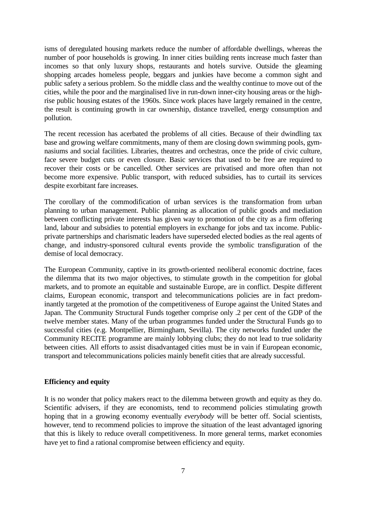isms of deregulated housing markets reduce the number of affordable dwellings, whereas the number of poor households is growing. In inner cities building rents increase much faster than incomes so that only luxury shops, restaurants and hotels survive. Outside the gleaming shopping arcades homeless people, beggars and junkies have become a common sight and public safety a serious problem. So the middle class and the wealthy continue to move out of the cities, while the poor and the marginalised live in run-down inner-city housing areas or the highrise public housing estates of the 1960s. Since work places have largely remained in the centre, the result is continuing growth in car ownership, distance travelled, energy consumption and pollution.

The recent recession has acerbated the problems of all cities. Because of their dwindling tax base and growing welfare commitments, many of them are closing down swimming pools, gymnasiums and social facilities. Libraries, theatres and orchestras, once the pride of civic culture, face severe budget cuts or even closure. Basic services that used to be free are required to recover their costs or be cancelled. Other services are privatised and more often than not become more expensive. Public transport, with reduced subsidies, has to curtail its services despite exorbitant fare increases.

The corollary of the commodification of urban services is the transformation from urban planning to urban management. Public planning as allocation of public goods and mediation between conflicting private interests has given way to promotion of the city as a firm offering land, labour and subsidies to potential employers in exchange for jobs and tax income. Publicprivate partnerships and charismatic leaders have superseded elected bodies as the real agents of change, and industry-sponsored cultural events provide the symbolic transfiguration of the demise of local democracy.

The European Community, captive in its growth-oriented neoliberal economic doctrine, faces the dilemma that its two major objectives, to stimulate growth in the competition for global markets, and to promote an equitable and sustainable Europe, are in conflict. Despite different claims, European economic, transport and telecommunications policies are in fact predominantly targeted at the promotion of the competitiveness of Europe against the United States and Japan. The Community Structural Funds together comprise only .2 per cent of the GDP of the twelve member states. Many of the urban programmes funded under the Structural Funds go to successful cities (e.g. Montpellier, Birmingham, Sevilla). The city networks funded under the Community RECITE programme are mainly lobbying clubs; they do not lead to true solidarity between cities. All efforts to assist disadvantaged cities must be in vain if European economic, transport and telecommunications policies mainly benefit cities that are already successful.

## **Efficiency and equity**

It is no wonder that policy makers react to the dilemma between growth and equity as they do. Scientific advisers, if they are economists, tend to recommend policies stimulating growth hoping that in a growing economy eventually *everybody* will be better off. Social scientists, however, tend to recommend policies to improve the situation of the least advantaged ignoring that this is likely to reduce overall competitiveness. In more general terms, market economies have yet to find a rational compromise between efficiency and equity.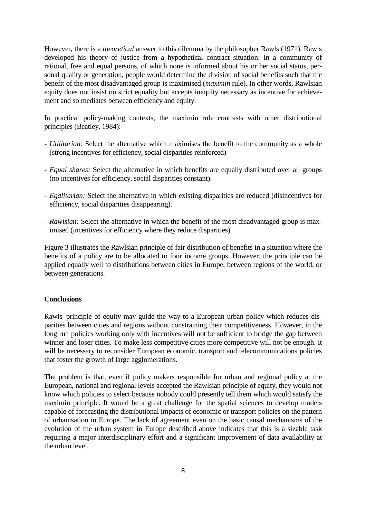However, there is a *theoretical* answer to this dilemma by the philosopher Rawls (1971). Rawls developed his theory of justice from a hypothetical contract situation: In a community of rational, free and equal persons, of which none is informed about his or her social status, personal quality or generation, people would determine the division of social benefits such that the benefit of the most disadvantaged group is maximised (*maximin* rule). In other words, Rawlsian equity does not insist on strict equality but accepts inequity necessary as incentive for achievement and so mediates between efficiency and equity.

In practical policy-making contexts, the maximin rule contrasts with other distributional principles (Beatley, 1984):

- *Utilitarian:* Select the alternative which maximises the benefit to the community as a whole (strong incentives for efficiency, social disparities reinforced)
- *Equal shares:* Select the alternative in which benefits are equally distributed over all groups (no incentives for efficiency, social disparities constant).
- *Egalitarian:* Select the alternative in which existing disparities are reduced (disincentives for efficiency, social disparities disappearing).
- *Rawlsian:* Select the alternative in which the benefit of the most disadvantaged group is maximised (incentives for efficiency where they reduce disparities)

Figure 3 illustrates the Rawlsian principle of fair distribution of benefits in a situation where the benefits of a policy are to be allocated to four income groups. However, the principle can be applied equally well to distributions between cities in Europe, between regions of the world, or between generations.

## **Conclusions**

Rawls' principle of equity may guide the way to a European urban policy which reduces disparities between cities and regions without constraining their competitiveness. However, in the long run policies working only with incentives will not be sufficient to bridge the gap between winner and loser cities. To make less competitive cities more competitive will not be enough. It will be necessary to reconsider European economic, transport and telecommunications policies that foster the growth of large agglomerations.

The problem is that, even if policy makers responsible for urban and regional policy at the European, national and regional levels accepted the Rawlsian principle of equity, they would not know which policies to select because nobody could presently tell them which would satisfy the maximin principle. It would be a great challenge for the spatial sciences to develop models capable of forecasting the distributional impacts of economic or transport policies on the pattern of urbanisation in Europe. The lack of agreement even on the basic causal mechanisms of the evolution of the urban system in Europe described above indicates that this is a sizable task requiring a major interdisciplinary effort and a significant improvement of data availability at the urban level.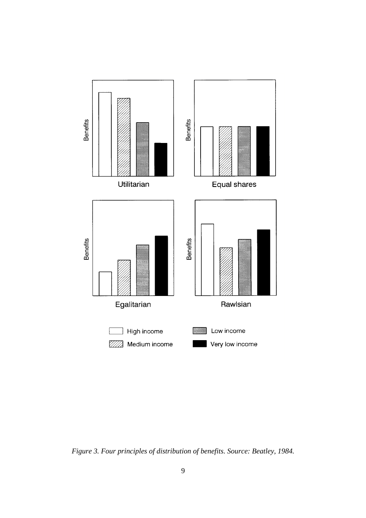

*Figure 3. Four principles of distribution of benefits. Source: Beatley, 1984.*